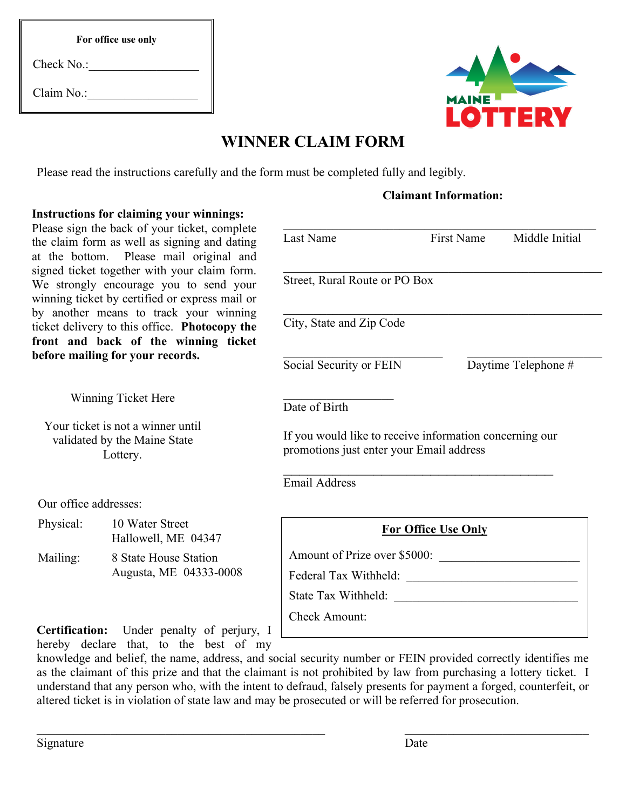| For office use only |  |
|---------------------|--|
|                     |  |

| Check No.: |  |
|------------|--|
| Claim No.: |  |



# **WINNER CLAIM FORM**

Please read the instructions carefully and the form must be completed fully and legibly.

## **Claimant Information:**

### **Instructions for claiming your winnings:**

Please sign the back of your ticket, complete the claim form as well as signing and dating at the bottom. Please mail original and signed ticket together with your claim form. We strongly encourage you to send your winning ticket by certified or express mail or by another means to track your winning ticket delivery to this office. **Photocopy the front and back of the winning ticket before mailing for your records.**

Winning Ticket Here

Your ticket is not a winner until validated by the Maine State Lottery.

Our office addresses:

| Physical: | 10 Water Street     |  |
|-----------|---------------------|--|
|           | Hallowell, ME 04347 |  |

| Mailing: | 8 State House Station  |  |  |
|----------|------------------------|--|--|
|          | Augusta, ME 04333-0008 |  |  |

**Certification:** Under penalty of perjury, I hereby declare that, to the best of my

| <b>Last Name</b>                                                                                    | First Name                 | Middle Initial      |
|-----------------------------------------------------------------------------------------------------|----------------------------|---------------------|
| Street, Rural Route or PO Box                                                                       |                            |                     |
| City, State and Zip Code                                                                            |                            |                     |
| Social Security or FEIN                                                                             |                            | Daytime Telephone # |
| Date of Birth                                                                                       |                            |                     |
| If you would like to receive information concerning our<br>promotions just enter your Email address |                            |                     |
| <b>Email Address</b>                                                                                |                            |                     |
|                                                                                                     | <b>For Office Use Only</b> |                     |
| Amount of Prize over \$5000:                                                                        |                            |                     |
| Federal Tax Withheld:                                                                               |                            |                     |
| State Tax Withheld:                                                                                 |                            |                     |

Check Amount:

knowledge and belief, the name, address, and social security number or FEIN provided correctly identifies me as the claimant of this prize and that the claimant is not prohibited by law from purchasing a lottery ticket. I understand that any person who, with the intent to defraud, falsely presents for payment a forged, counterfeit, or altered ticket is in violation of state law and may be prosecuted or will be referred for prosecution.

 $\mathcal{L}_\text{max}$  , and the contribution of the contribution of the contribution of the contribution of the contribution of the contribution of the contribution of the contribution of the contribution of the contribution of t

Signature Date